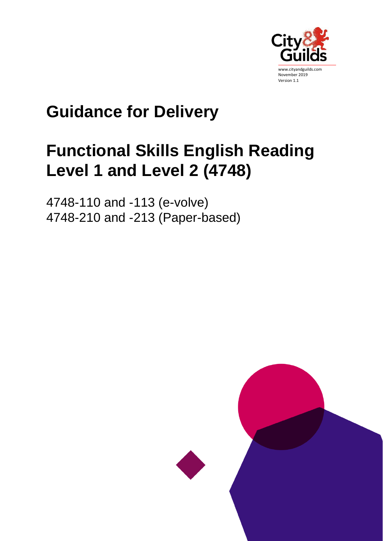

# **Guidance for Delivery**

# **Functional Skills English Reading Level 1 and Level 2 (4748)**

4748-110 and -113 (e-volve) 4748-210 and -213 (Paper-based)

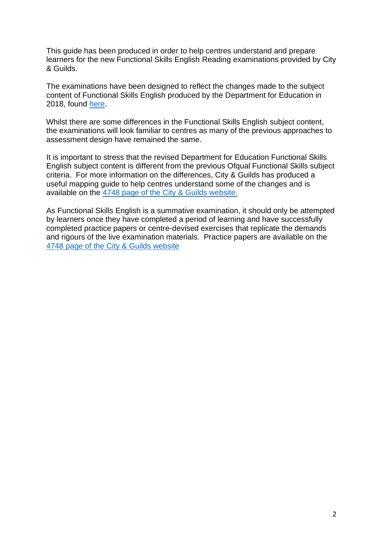This guide has been produced in order to help centres understand and prepare learners for the new Functional Skills English Reading examinations provided by City & Guilds.

The examinations have been designed to reflect the changes made to the subject content of Functional Skills English produced by the Department for Education in 2018, found [here.](https://assets.publishing.service.gov.uk/government/uploads/system/uploads/attachment_data/file/682834/Functional_Skills_Subject_Content_English.pdf)

Whilst there are some differences in the Functional Skills English subject content, the examinations will look familiar to centres as many of the previous approaches to assessment design have remained the same.

It is important to stress that the revised Department for Education Functional Skills English subject content is different from the previous Ofqual Functional Skills subject criteria. For more information on the differences, City & Guilds has produced a useful mapping guide to help centres understand some of the changes and is available on the [4748 page of the City & Guilds website.](https://www.cityandguilds.com/qualifications-and-apprenticeships/skills-for-work-and-life/english-mathematics-and-ict-skills/4748-functional-skills#tab=documents)

As Functional Skills English is a summative examination, it should only be attempted by learners once they have completed a period of learning and have successfully completed practice papers or centre-devised exercises that replicate the demands and rigours of the live examination materials. Practice papers are available on the [4748 page of the City & Guilds website](https://www.cityandguilds.com/qualifications-and-apprenticeships/skills-for-work-and-life/english-mathematics-and-ict-skills/4748-functional-skills#tab=documents)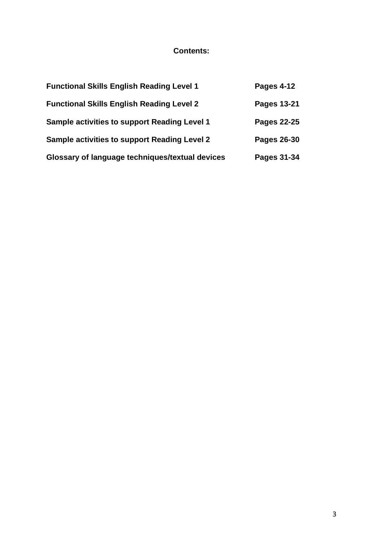# **Contents:**

| <b>Functional Skills English Reading Level 1</b>    | Pages 4-12         |
|-----------------------------------------------------|--------------------|
| <b>Functional Skills English Reading Level 2</b>    | Pages 13-21        |
| <b>Sample activities to support Reading Level 1</b> | <b>Pages 22-25</b> |
| <b>Sample activities to support Reading Level 2</b> | Pages 26-30        |
| Glossary of language techniques/textual devices     | Pages 31-34        |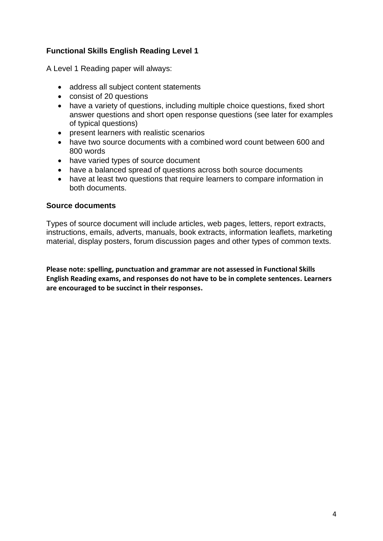# **Functional Skills English Reading Level 1**

A Level 1 Reading paper will always:

- address all subject content statements
- consist of 20 questions
- have a variety of questions, including multiple choice questions, fixed short answer questions and short open response questions (see later for examples of typical questions)
- present learners with realistic scenarios
- have two source documents with a combined word count between 600 and 800 words
- have varied types of source document
- have a balanced spread of questions across both source documents
- have at least two questions that require learners to compare information in both documents.

#### **Source documents**

Types of source document will include articles, web pages, letters, report extracts, instructions, emails, adverts, manuals, book extracts, information leaflets, marketing material, display posters, forum discussion pages and other types of common texts.

**Please note: spelling, punctuation and grammar are not assessed in Functional Skills English Reading exams, and responses do not have to be in complete sentences. Learners are encouraged to be succinct in their responses.**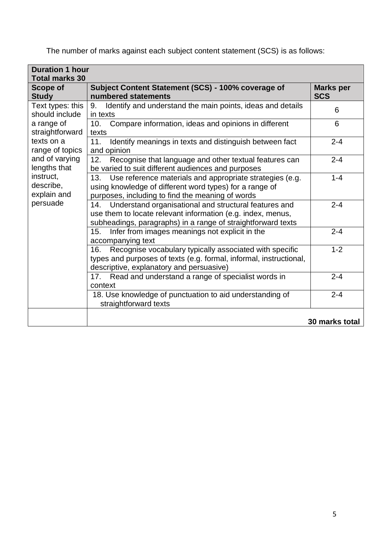The number of marks against each subject content statement (SCS) is as follows:

| <b>Duration 1 hour</b><br><b>Total marks 30</b>   |                                                                                                                                                                                             |                                |
|---------------------------------------------------|---------------------------------------------------------------------------------------------------------------------------------------------------------------------------------------------|--------------------------------|
| <b>Scope of</b><br><b>Study</b>                   | Subject Content Statement (SCS) - 100% coverage of<br>numbered statements                                                                                                                   | <b>Marks per</b><br><b>SCS</b> |
| Text types: this<br>should include                | Identify and understand the main points, ideas and details<br>9.<br>in texts                                                                                                                | 6                              |
| a range of<br>straightforward                     | Compare information, ideas and opinions in different<br>10.<br>texts                                                                                                                        | 6                              |
| texts on a<br>range of topics                     | 11.<br>Identify meanings in texts and distinguish between fact<br>and opinion                                                                                                               | $2 - 4$                        |
| and of varying<br>lengths that                    | Recognise that language and other textual features can<br>12.<br>be varied to suit different audiences and purposes                                                                         | $2 - 4$                        |
| instruct,<br>describe,<br>explain and<br>persuade | Use reference materials and appropriate strategies (e.g.<br>13.<br>using knowledge of different word types) for a range of<br>purposes, including to find the meaning of words              | $1 - 4$                        |
|                                                   | Understand organisational and structural features and<br>14.<br>use them to locate relevant information (e.g. index, menus,<br>subheadings, paragraphs) in a range of straightforward texts | $2 - 4$                        |
|                                                   | Infer from images meanings not explicit in the<br>15.<br>accompanying text                                                                                                                  | $2 - 4$                        |
|                                                   | Recognise vocabulary typically associated with specific<br>16.<br>types and purposes of texts (e.g. formal, informal, instructional,<br>descriptive, explanatory and persuasive)            | $1 - 2$                        |
|                                                   | Read and understand a range of specialist words in<br>17.<br>context                                                                                                                        | $2 - 4$                        |
|                                                   | 18. Use knowledge of punctuation to aid understanding of<br>straightforward texts                                                                                                           | $2 - 4$                        |
|                                                   |                                                                                                                                                                                             | 30 marks total                 |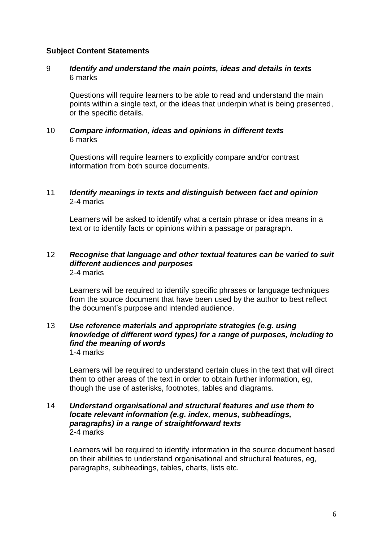# **Subject Content Statements**

### 9 *Identify and understand the main points, ideas and details in texts* 6 marks

Questions will require learners to be able to read and understand the main points within a single text, or the ideas that underpin what is being presented, or the specific details.

### 10 *Compare information, ideas and opinions in different texts* 6 marks

Questions will require learners to explicitly compare and/or contrast information from both source documents.

# 11 *Identify meanings in texts and distinguish between fact and opinion* 2-4 marks

Learners will be asked to identify what a certain phrase or idea means in a text or to identify facts or opinions within a passage or paragraph.

#### 12 *Recognise that language and other textual features can be varied to suit different audiences and purposes* 2-4 marks

Learners will be required to identify specific phrases or language techniques from the source document that have been used by the author to best reflect the document's purpose and intended audience.

#### 13 *Use reference materials and appropriate strategies (e.g. using knowledge of different word types) for a range of purposes, including to find the meaning of words* 1-4 marks

Learners will be required to understand certain clues in the text that will direct them to other areas of the text in order to obtain further information, eg, though the use of asterisks, footnotes, tables and diagrams.

#### 14 *Understand organisational and structural features and use them to locate relevant information (e.g. index, menus, subheadings, paragraphs) in a range of straightforward texts* 2-4 marks

Learners will be required to identify information in the source document based on their abilities to understand organisational and structural features, eg, paragraphs, subheadings, tables, charts, lists etc.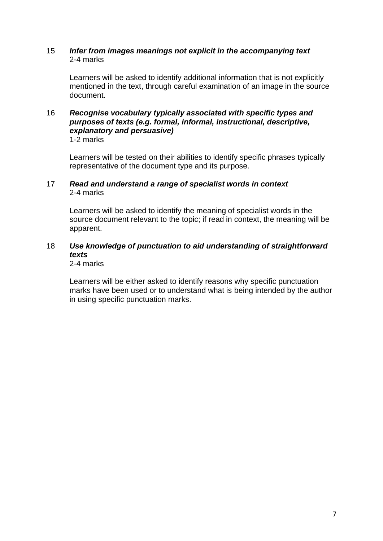#### 15 *Infer from images meanings not explicit in the accompanying text* 2-4 marks

Learners will be asked to identify additional information that is not explicitly mentioned in the text, through careful examination of an image in the source document.

#### 16 *Recognise vocabulary typically associated with specific types and purposes of texts (e.g. formal, informal, instructional, descriptive, explanatory and persuasive)* 1-2 marks

Learners will be tested on their abilities to identify specific phrases typically representative of the document type and its purpose.

# 17 *Read and understand a range of specialist words in context* 2-4 marks

Learners will be asked to identify the meaning of specialist words in the source document relevant to the topic; if read in context, the meaning will be apparent.

# 18 *Use knowledge of punctuation to aid understanding of straightforward texts*

2-4 marks

Learners will be either asked to identify reasons why specific punctuation marks have been used or to understand what is being intended by the author in using specific punctuation marks.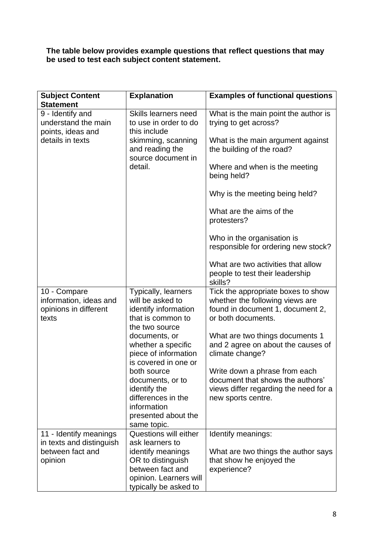**The table below provides example questions that reflect questions that may be used to test each subject content statement.** 

| <b>Subject Content</b>                                                   | <b>Explanation</b>                                                                                                         | <b>Examples of functional questions</b>                                                                                          |
|--------------------------------------------------------------------------|----------------------------------------------------------------------------------------------------------------------------|----------------------------------------------------------------------------------------------------------------------------------|
| <b>Statement</b>                                                         |                                                                                                                            |                                                                                                                                  |
| 9 - Identify and<br>understand the main<br>points, ideas and             | Skills learners need<br>to use in order to do<br>this include                                                              | What is the main point the author is<br>trying to get across?                                                                    |
| details in texts                                                         | skimming, scanning<br>and reading the<br>source document in                                                                | What is the main argument against<br>the building of the road?                                                                   |
|                                                                          | detail.                                                                                                                    | Where and when is the meeting<br>being held?                                                                                     |
|                                                                          |                                                                                                                            | Why is the meeting being held?                                                                                                   |
|                                                                          |                                                                                                                            | What are the aims of the<br>protesters?                                                                                          |
|                                                                          |                                                                                                                            | Who in the organisation is<br>responsible for ordering new stock?                                                                |
|                                                                          |                                                                                                                            | What are two activities that allow<br>people to test their leadership<br>skills?                                                 |
| 10 - Compare<br>information, ideas and<br>opinions in different<br>texts | <b>Typically, learners</b><br>will be asked to<br>identify information<br>that is common to<br>the two source              | Tick the appropriate boxes to show<br>whether the following views are<br>found in document 1, document 2,<br>or both documents.  |
|                                                                          | documents, or<br>whether a specific<br>piece of information<br>is covered in one or                                        | What are two things documents 1<br>and 2 agree on about the causes of<br>climate change?                                         |
|                                                                          | both source<br>documents, or to<br>identify the<br>differences in the<br>information<br>presented about the<br>same topic. | Write down a phrase from each<br>document that shows the authors'<br>views differ regarding the need for a<br>new sports centre. |
| 11 - Identify meanings                                                   | Questions will either                                                                                                      | Identify meanings:                                                                                                               |
| in texts and distinguish                                                 | ask learners to                                                                                                            |                                                                                                                                  |
| between fact and<br>opinion                                              | identify meanings<br>OR to distinguish                                                                                     | What are two things the author says<br>that show he enjoyed the                                                                  |
|                                                                          | between fact and                                                                                                           | experience?                                                                                                                      |
|                                                                          | opinion. Learners will                                                                                                     |                                                                                                                                  |
|                                                                          | typically be asked to                                                                                                      |                                                                                                                                  |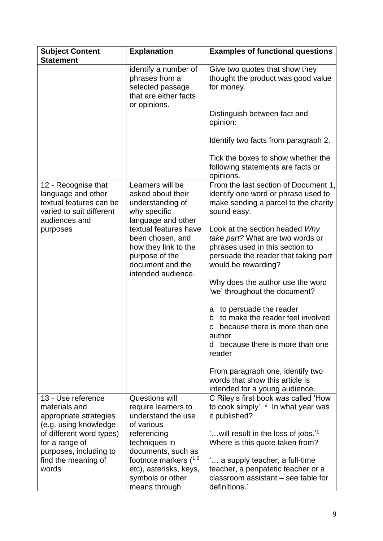| <b>Subject Content</b><br><b>Statement</b>                                                       | <b>Explanation</b>                                                                                                                                  | <b>Examples of functional questions</b>                                                                                                                                |
|--------------------------------------------------------------------------------------------------|-----------------------------------------------------------------------------------------------------------------------------------------------------|------------------------------------------------------------------------------------------------------------------------------------------------------------------------|
|                                                                                                  | identify a number of<br>phrases from a<br>selected passage<br>that are either facts<br>or opinions.                                                 | Give two quotes that show they<br>thought the product was good value<br>for money.                                                                                     |
|                                                                                                  |                                                                                                                                                     | Distinguish between fact and<br>opinion:                                                                                                                               |
|                                                                                                  |                                                                                                                                                     | Identify two facts from paragraph 2.                                                                                                                                   |
|                                                                                                  |                                                                                                                                                     | Tick the boxes to show whether the<br>following statements are facts or<br>opinions.                                                                                   |
| 12 - Recognise that<br>language and other<br>textual features can be<br>varied to suit different | Learners will be<br>asked about their<br>understanding of<br>why specific                                                                           | From the last section of Document 1,<br>identify one word or phrase used to<br>make sending a parcel to the charity<br>sound easy.                                     |
| audiences and<br>purposes                                                                        | language and other<br>textual features have<br>been chosen, and<br>how they link to the<br>purpose of the<br>document and the<br>intended audience. | Look at the section headed Why<br>take part? What are two words or<br>phrases used in this section to<br>persuade the reader that taking part<br>would be rewarding?   |
|                                                                                                  |                                                                                                                                                     | Why does the author use the word<br>'we' throughout the document?                                                                                                      |
|                                                                                                  |                                                                                                                                                     | to persuade the reader<br>а<br>to make the reader feel involved<br>b<br>because there is more than one<br>C<br>author<br>because there is more than one<br>d<br>reader |
|                                                                                                  |                                                                                                                                                     | From paragraph one, identify two<br>words that show this article is<br>intended for a young audience.                                                                  |
| 13 - Use reference<br>materials and<br>appropriate strategies<br>(e.g. using knowledge           | Questions will<br>require learners to<br>understand the use<br>of various                                                                           | C Riley's first book was called 'How<br>to cook simply'. * In what year was<br>it published?                                                                           |
| of different word types)<br>for a range of<br>purposes, including to                             | referencing<br>techniques in<br>documents, such as                                                                                                  | ' will result in the loss of jobs.' <sup>1</sup><br>Where is this quote taken from?                                                                                    |
| find the meaning of<br>words                                                                     | footnote markers $(^{1,2}$<br>etc), asterisks, keys,<br>symbols or other<br>means through                                                           | ' a supply teacher, a full-time<br>teacher, a peripatetic teacher or a<br>classroom assistant – see table for<br>definitions.'                                         |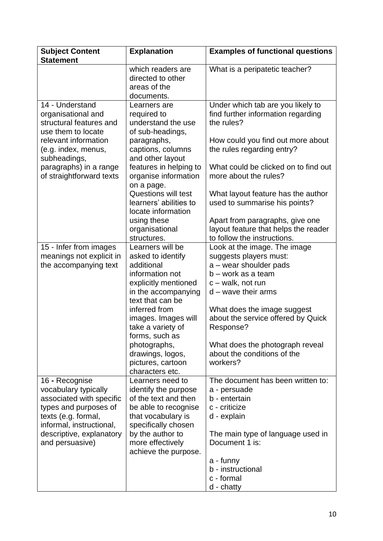| <b>Subject Content</b><br><b>Statement</b>                                                                                                                                                                  | <b>Explanation</b>                                                                                                                                                                                                                                                                                   | <b>Examples of functional questions</b>                                                                                                                                                                                                                                                                                             |
|-------------------------------------------------------------------------------------------------------------------------------------------------------------------------------------------------------------|------------------------------------------------------------------------------------------------------------------------------------------------------------------------------------------------------------------------------------------------------------------------------------------------------|-------------------------------------------------------------------------------------------------------------------------------------------------------------------------------------------------------------------------------------------------------------------------------------------------------------------------------------|
|                                                                                                                                                                                                             | which readers are<br>directed to other<br>areas of the<br>documents.                                                                                                                                                                                                                                 | What is a peripatetic teacher?                                                                                                                                                                                                                                                                                                      |
| 14 - Understand<br>organisational and<br>structural features and<br>use them to locate<br>relevant information<br>(e.g. index, menus,<br>subheadings,<br>paragraphs) in a range<br>of straightforward texts | Learners are<br>required to<br>understand the use<br>of sub-headings,<br>paragraphs,<br>captions, columns<br>and other layout<br>features in helping to<br>organise information<br>on a page.<br><b>Questions will test</b><br>learners' abilities to<br>locate information<br>using these           | Under which tab are you likely to<br>find further information regarding<br>the rules?<br>How could you find out more about<br>the rules regarding entry?<br>What could be clicked on to find out<br>more about the rules?<br>What layout feature has the author<br>used to summarise his points?<br>Apart from paragraphs, give one |
|                                                                                                                                                                                                             | organisational<br>structures.                                                                                                                                                                                                                                                                        | layout feature that helps the reader<br>to follow the instructions.                                                                                                                                                                                                                                                                 |
| 15 - Infer from images<br>meanings not explicit in<br>the accompanying text                                                                                                                                 | Learners will be<br>asked to identify<br>additional<br>information not<br>explicitly mentioned<br>in the accompanying<br>text that can be<br>inferred from<br>images. Images will<br>take a variety of<br>forms, such as<br>photographs,<br>drawings, logos,<br>pictures, cartoon<br>characters etc. | Look at the image. The image<br>suggests players must:<br>a – wear shoulder pads<br>$b - work$ as a team<br>c - walk, not run<br>$d$ – wave their arms<br>What does the image suggest<br>about the service offered by Quick<br>Response?<br>What does the photograph reveal<br>about the conditions of the<br>workers?              |
| 16 - Recognise<br>vocabulary typically<br>associated with specific<br>types and purposes of<br>texts (e.g. formal,<br>informal, instructional,<br>descriptive, explanatory<br>and persuasive)               | Learners need to<br>identify the purpose<br>of the text and then<br>be able to recognise<br>that vocabulary is<br>specifically chosen<br>by the author to<br>more effectively<br>achieve the purpose.                                                                                                | The document has been written to:<br>a - persuade<br>b - entertain<br>c - criticize<br>d - explain<br>The main type of language used in<br>Document 1 is:<br>a - funny<br>b - instructional<br>c - formal<br>d - chatty                                                                                                             |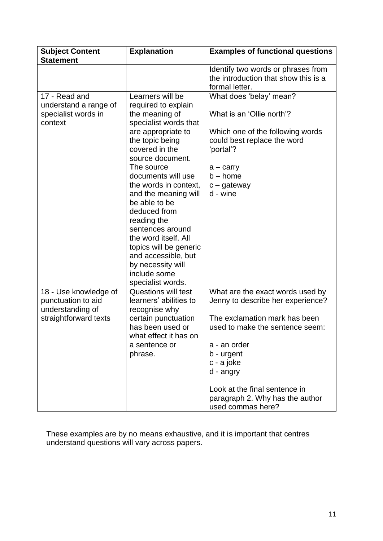| <b>Subject Content</b><br><b>Statement</b>                                               | <b>Explanation</b>                                                                                                                                                                                                                                                                                                                                                                                                                                            | <b>Examples of functional questions</b>                                                                                                                                                                                                                                                     |
|------------------------------------------------------------------------------------------|---------------------------------------------------------------------------------------------------------------------------------------------------------------------------------------------------------------------------------------------------------------------------------------------------------------------------------------------------------------------------------------------------------------------------------------------------------------|---------------------------------------------------------------------------------------------------------------------------------------------------------------------------------------------------------------------------------------------------------------------------------------------|
|                                                                                          |                                                                                                                                                                                                                                                                                                                                                                                                                                                               | Identify two words or phrases from<br>the introduction that show this is a<br>formal letter.                                                                                                                                                                                                |
| 17 - Read and<br>understand a range of<br>specialist words in<br>context                 | Learners will be<br>required to explain<br>the meaning of<br>specialist words that<br>are appropriate to<br>the topic being<br>covered in the<br>source document.<br>The source<br>documents will use<br>the words in context,<br>and the meaning will<br>be able to be<br>deduced from<br>reading the<br>sentences around<br>the word itself. All<br>topics will be generic<br>and accessible, but<br>by necessity will<br>include some<br>specialist words. | What does 'belay' mean?<br>What is an 'Ollie north'?<br>Which one of the following words<br>could best replace the word<br>'portal'?<br>$a -$ carry<br>$b - home$<br>$c -$ gateway<br>d - wine                                                                                              |
| 18 - Use knowledge of<br>punctuation to aid<br>understanding of<br>straightforward texts | <b>Questions will test</b><br>learners' abilities to<br>recognise why<br>certain punctuation<br>has been used or<br>what effect it has on<br>a sentence or<br>phrase.                                                                                                                                                                                                                                                                                         | What are the exact words used by<br>Jenny to describe her experience?<br>The exclamation mark has been<br>used to make the sentence seem:<br>a - an order<br>b - urgent<br>c - a joke<br>d - angry<br>Look at the final sentence in<br>paragraph 2. Why has the author<br>used commas here? |

These examples are by no means exhaustive, and it is important that centres understand questions will vary across papers.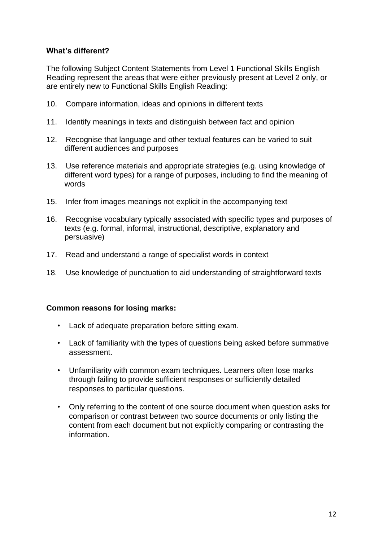# **What's different?**

The following Subject Content Statements from Level 1 Functional Skills English Reading represent the areas that were either previously present at Level 2 only, or are entirely new to Functional Skills English Reading:

- 10. Compare information, ideas and opinions in different texts
- 11. Identify meanings in texts and distinguish between fact and opinion
- 12. Recognise that language and other textual features can be varied to suit different audiences and purposes
- 13. Use reference materials and appropriate strategies (e.g. using knowledge of different word types) for a range of purposes, including to find the meaning of words
- 15. Infer from images meanings not explicit in the accompanying text
- 16. Recognise vocabulary typically associated with specific types and purposes of texts (e.g. formal, informal, instructional, descriptive, explanatory and persuasive)
- 17. Read and understand a range of specialist words in context
- 18. Use knowledge of punctuation to aid understanding of straightforward texts

# **Common reasons for losing marks:**

- Lack of adequate preparation before sitting exam.
- Lack of familiarity with the types of questions being asked before summative assessment.
- Unfamiliarity with common exam techniques. Learners often lose marks through failing to provide sufficient responses or sufficiently detailed responses to particular questions.
- Only referring to the content of one source document when question asks for comparison or contrast between two source documents or only listing the content from each document but not explicitly comparing or contrasting the information.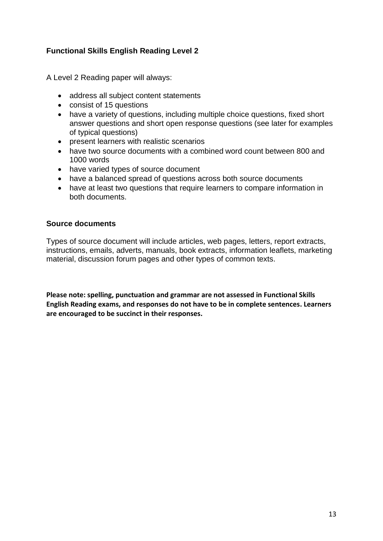# **Functional Skills English Reading Level 2**

A Level 2 Reading paper will always:

- address all subject content statements
- consist of 15 questions
- have a variety of questions, including multiple choice questions, fixed short answer questions and short open response questions (see later for examples of typical questions)
- present learners with realistic scenarios
- have two source documents with a combined word count between 800 and 1000 words
- have varied types of source document
- have a balanced spread of questions across both source documents
- have at least two questions that require learners to compare information in both documents.

# **Source documents**

Types of source document will include articles, web pages, letters, report extracts, instructions, emails, adverts, manuals, book extracts, information leaflets, marketing material, discussion forum pages and other types of common texts.

**Please note: spelling, punctuation and grammar are not assessed in Functional Skills English Reading exams, and responses do not have to be in complete sentences. Learners are encouraged to be succinct in their responses.**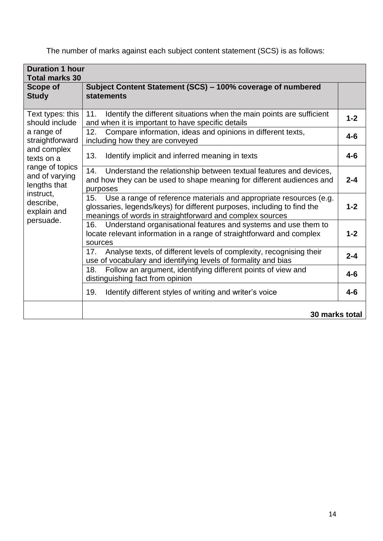The number of marks against each subject content statement (SCS) is as follows:

| <b>Duration 1 hour</b><br><b>Total marks 30</b>                                                         |                                                                                                                                                                                                                  |         |
|---------------------------------------------------------------------------------------------------------|------------------------------------------------------------------------------------------------------------------------------------------------------------------------------------------------------------------|---------|
| <b>Scope of</b><br><b>Study</b>                                                                         | Subject Content Statement (SCS) - 100% coverage of numbered<br><b>statements</b>                                                                                                                                 |         |
| Text types: this<br>should include                                                                      | Identify the different situations when the main points are sufficient<br>11.<br>and when it is important to have specific details                                                                                | $1 - 2$ |
| a range of<br>straightforward                                                                           | Compare information, ideas and opinions in different texts,<br>12.<br>including how they are conveyed                                                                                                            | $4 - 6$ |
| and complex<br>texts on a                                                                               | 13.<br>Identify implicit and inferred meaning in texts                                                                                                                                                           | $4 - 6$ |
| range of topics<br>and of varying<br>lengths that<br>instruct,<br>describe,<br>explain and<br>persuade. | Understand the relationship between textual features and devices,<br>14.<br>and how they can be used to shape meaning for different audiences and<br>purposes                                                    | $2 - 4$ |
|                                                                                                         | Use a range of reference materials and appropriate resources (e.g.<br>15.<br>glossaries, legends/keys) for different purposes, including to find the<br>meanings of words in straightforward and complex sources | $1 - 2$ |
|                                                                                                         | Understand organisational features and systems and use them to<br>16.<br>locate relevant information in a range of straightforward and complex<br>sources                                                        | $1 - 2$ |
|                                                                                                         | Analyse texts, of different levels of complexity, recognising their<br>17.<br>use of vocabulary and identifying levels of formality and bias                                                                     | $2 - 4$ |
|                                                                                                         | Follow an argument, identifying different points of view and<br>18.<br>distinguishing fact from opinion                                                                                                          | $4 - 6$ |
|                                                                                                         | 19.<br>Identify different styles of writing and writer's voice                                                                                                                                                   | $4 - 6$ |
|                                                                                                         | 30 marks total                                                                                                                                                                                                   |         |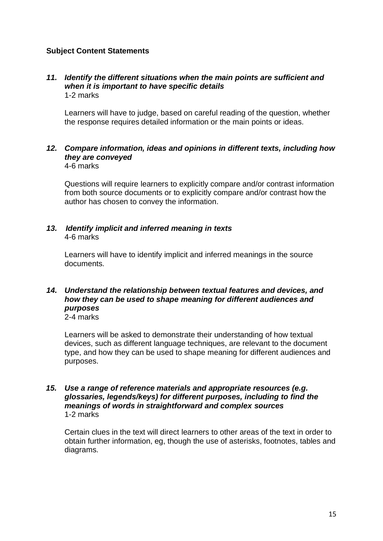# **Subject Content Statements**

#### *11. Identify the different situations when the main points are sufficient and when it is important to have specific details* 1-2 marks

Learners will have to judge, based on careful reading of the question, whether the response requires detailed information or the main points or ideas.

# *12. Compare information, ideas and opinions in different texts, including how they are conveyed*

4-6 marks

Questions will require learners to explicitly compare and/or contrast information from both source documents or to explicitly compare and/or contrast how the author has chosen to convey the information.

# *13. Identify implicit and inferred meaning in texts* 4-6 marks

Learners will have to identify implicit and inferred meanings in the source documents.

#### *14. Understand the relationship between textual features and devices, and how they can be used to shape meaning for different audiences and purposes* 2-4 marks

Learners will be asked to demonstrate their understanding of how textual devices, such as different language techniques, are relevant to the document type, and how they can be used to shape meaning for different audiences and purposes.

#### *15. Use a range of reference materials and appropriate resources (e.g. glossaries, legends/keys) for different purposes, including to find the meanings of words in straightforward and complex sources* 1-2 marks

Certain clues in the text will direct learners to other areas of the text in order to obtain further information, eg, though the use of asterisks, footnotes, tables and diagrams.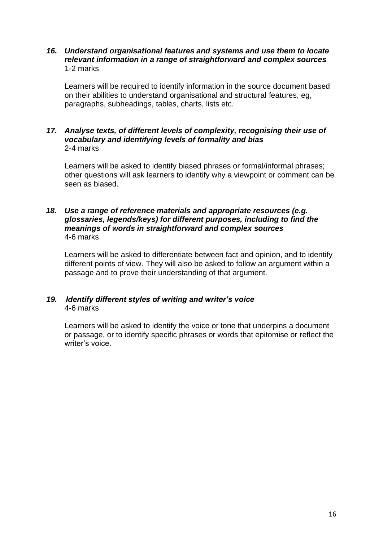# *16. Understand organisational features and systems and use them to locate relevant information in a range of straightforward and complex sources* 1-2 marks

Learners will be required to identify information in the source document based on their abilities to understand organisational and structural features, eg, paragraphs, subheadings, tables, charts, lists etc.

### *17. Analyse texts, of different levels of complexity, recognising their use of vocabulary and identifying levels of formality and bias* 2-4 marks

Learners will be asked to identify biased phrases or formal/informal phrases; other questions will ask learners to identify why a viewpoint or comment can be seen as biased.

#### *18. Use a range of reference materials and appropriate resources (e.g. glossaries, legends/keys) for different purposes, including to find the meanings of words in straightforward and complex sources* 4-6 marks

Learners will be asked to differentiate between fact and opinion, and to identify different points of view. They will also be asked to follow an argument within a passage and to prove their understanding of that argument.

# *19. Identify different styles of writing and writer's voice* 4-6 marks

Learners will be asked to identify the voice or tone that underpins a document or passage, or to identify specific phrases or words that epitomise or reflect the writer's voice.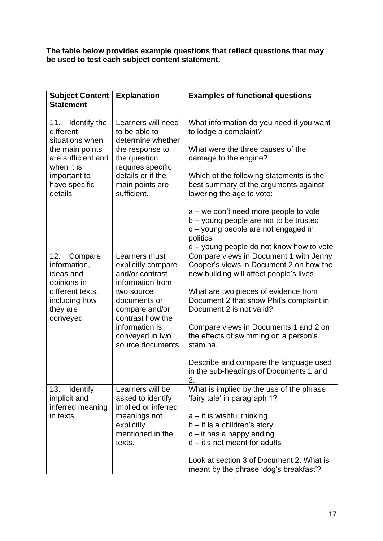**The table below provides example questions that reflect questions that may be used to test each subject content statement.** 

| <b>Subject Content</b>                                     | <b>Explanation</b>                                                         | <b>Examples of functional questions</b>                                                                                              |
|------------------------------------------------------------|----------------------------------------------------------------------------|--------------------------------------------------------------------------------------------------------------------------------------|
| <b>Statement</b>                                           |                                                                            |                                                                                                                                      |
| Identify the<br>11.<br>different<br>situations when        | Learners will need<br>to be able to<br>determine whether                   | What information do you need if you want<br>to lodge a complaint?                                                                    |
| the main points<br>are sufficient and<br>when it is        | the response to<br>the question<br>requires specific                       | What were the three causes of the<br>damage to the engine?                                                                           |
| important to<br>have specific<br>details                   | details or if the<br>main points are<br>sufficient.                        | Which of the following statements is the<br>best summary of the arguments against<br>lowering the age to vote:                       |
|                                                            |                                                                            | $a$ – we don't need more people to vote<br>b – young people are not to be trusted<br>c – young people are not engaged in<br>politics |
|                                                            |                                                                            | d – young people do not know how to vote                                                                                             |
| 12.<br>Compare<br>information,<br>ideas and<br>opinions in | Learners must<br>explicitly compare<br>and/or contrast<br>information from | Compare views in Document 1 with Jenny<br>Cooper's views in Document 2 on how the<br>new building will affect people's lives.        |
| different texts,<br>including how<br>they are<br>conveyed  | two source<br>documents or<br>compare and/or<br>contrast how the           | What are two pieces of evidence from<br>Document 2 that show Phil's complaint in<br>Document 2 is not valid?                         |
|                                                            | information is<br>conveyed in two<br>source documents.                     | Compare views in Documents 1 and 2 on<br>the effects of swimming on a person's<br>stamina.                                           |
|                                                            |                                                                            | Describe and compare the language used<br>in the sub-headings of Documents 1 and<br>2.                                               |
| Identify<br>13.<br>implicit and<br>inferred meaning        | Learners will be<br>asked to identify<br>implied or inferred               | What is implied by the use of the phrase<br>'fairy tale' in paragraph 1?                                                             |
| in texts                                                   | meanings not                                                               | $a - it$ is wishful thinking                                                                                                         |
|                                                            | explicitly                                                                 | $b - it$ is a children's story                                                                                                       |
|                                                            | mentioned in the                                                           | $c - it$ has a happy ending                                                                                                          |
|                                                            | texts.                                                                     | $d - it's not meant for adults$                                                                                                      |
|                                                            |                                                                            | Look at section 3 of Document 2. What is<br>meant by the phrase 'dog's breakfast'?                                                   |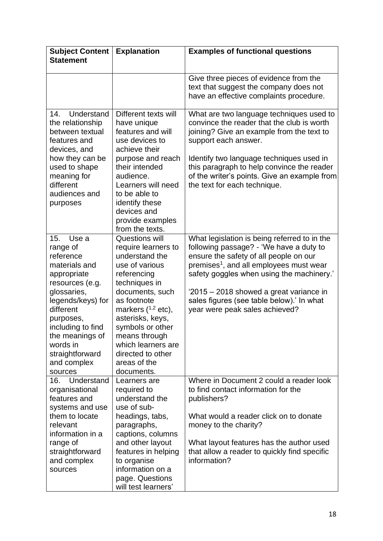| <b>Subject Content</b><br><b>Statement</b>                                                                                                                                                                                                              | <b>Explanation</b>                                                                                                                                                                                                                                                                                              | <b>Examples of functional questions</b>                                                                                                                                                                                                                                                                                                                         |
|---------------------------------------------------------------------------------------------------------------------------------------------------------------------------------------------------------------------------------------------------------|-----------------------------------------------------------------------------------------------------------------------------------------------------------------------------------------------------------------------------------------------------------------------------------------------------------------|-----------------------------------------------------------------------------------------------------------------------------------------------------------------------------------------------------------------------------------------------------------------------------------------------------------------------------------------------------------------|
|                                                                                                                                                                                                                                                         |                                                                                                                                                                                                                                                                                                                 | Give three pieces of evidence from the<br>text that suggest the company does not<br>have an effective complaints procedure.                                                                                                                                                                                                                                     |
| 14.<br>Understand<br>the relationship<br>between textual<br>features and<br>devices, and<br>how they can be<br>used to shape<br>meaning for<br>different<br>audiences and<br>purposes                                                                   | Different texts will<br>have unique<br>features and will<br>use devices to<br>achieve their<br>purpose and reach<br>their intended<br>audience.<br>Learners will need<br>to be able to<br>identify these<br>devices and<br>provide examples<br>from the texts.                                                  | What are two language techniques used to<br>convince the reader that the club is worth<br>joining? Give an example from the text to<br>support each answer.<br>Identify two language techniques used in<br>this paragraph to help convince the reader<br>of the writer's points. Give an example from<br>the text for each technique.                           |
| 15.<br>Use a<br>range of<br>reference<br>materials and<br>appropriate<br>resources (e.g.<br>glossaries,<br>legends/keys) for<br>different<br>purposes,<br>including to find<br>the meanings of<br>words in<br>straightforward<br>and complex<br>sources | <b>Questions will</b><br>require learners to<br>understand the<br>use of various<br>referencing<br>techniques in<br>documents, such<br>as footnote<br>markers $(^{1,2}$ etc),<br>asterisks, keys,<br>symbols or other<br>means through<br>which learners are<br>directed to other<br>areas of the<br>documents. | What legislation is being referred to in the<br>following passage? - 'We have a duty to<br>ensure the safety of all people on our<br>premises <sup>1</sup> , and all employees must wear<br>safety goggles when using the machinery.'<br>'2015 – 2018 showed a great variance in<br>sales figures (see table below).' In what<br>year were peak sales achieved? |
| 16.<br>Understand<br>organisational<br>features and<br>systems and use                                                                                                                                                                                  | Learners are<br>required to<br>understand the<br>use of sub-                                                                                                                                                                                                                                                    | Where in Document 2 could a reader look<br>to find contact information for the<br>publishers?                                                                                                                                                                                                                                                                   |
| them to locate<br>relevant<br>information in a<br>range of<br>straightforward<br>and complex<br>sources                                                                                                                                                 | headings, tabs,<br>paragraphs,<br>captions, columns<br>and other layout<br>features in helping<br>to organise<br>information on a<br>page. Questions<br>will test learners'                                                                                                                                     | What would a reader click on to donate<br>money to the charity?<br>What layout features has the author used<br>that allow a reader to quickly find specific<br>information?                                                                                                                                                                                     |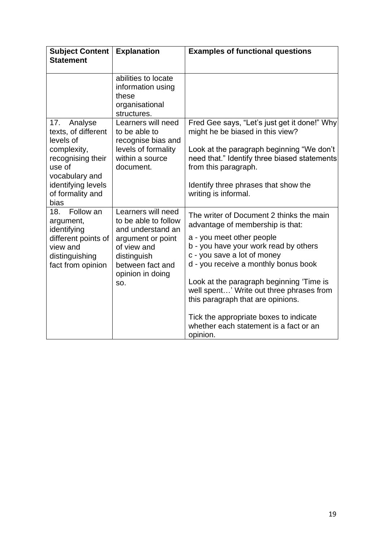| <b>Subject Content</b><br><b>Statement</b>                                                                                                                           | <b>Explanation</b>                                                                                                                                                | <b>Examples of functional questions</b>                                                                                                                                                                                                                                                                                                                                                                                                                |
|----------------------------------------------------------------------------------------------------------------------------------------------------------------------|-------------------------------------------------------------------------------------------------------------------------------------------------------------------|--------------------------------------------------------------------------------------------------------------------------------------------------------------------------------------------------------------------------------------------------------------------------------------------------------------------------------------------------------------------------------------------------------------------------------------------------------|
|                                                                                                                                                                      | abilities to locate<br>information using<br>these<br>organisational<br>structures.                                                                                |                                                                                                                                                                                                                                                                                                                                                                                                                                                        |
| 17.<br>Analyse<br>texts, of different<br>levels of<br>complexity,<br>recognising their<br>use of<br>vocabulary and<br>identifying levels<br>of formality and<br>bias | Learners will need<br>to be able to<br>recognise bias and<br>levels of formality<br>within a source<br>document.                                                  | Fred Gee says, "Let's just get it done!" Why<br>might he be biased in this view?<br>Look at the paragraph beginning "We don't<br>need that." Identify three biased statements<br>from this paragraph.<br>Identify three phrases that show the<br>writing is informal.                                                                                                                                                                                  |
| Follow an<br>18.<br>argument,<br>identifying<br>different points of<br>view and<br>distinguishing<br>fact from opinion                                               | Learners will need<br>to be able to follow<br>and understand an<br>argument or point<br>of view and<br>distinguish<br>between fact and<br>opinion in doing<br>SO. | The writer of Document 2 thinks the main<br>advantage of membership is that:<br>a - you meet other people<br>b - you have your work read by others<br>c - you save a lot of money<br>d - you receive a monthly bonus book<br>Look at the paragraph beginning 'Time is<br>well spent' Write out three phrases from<br>this paragraph that are opinions.<br>Tick the appropriate boxes to indicate<br>whether each statement is a fact or an<br>opinion. |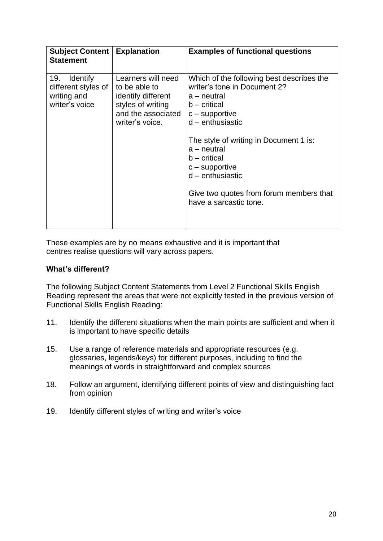| <b>Subject Content</b><br><b>Statement</b>                                     | <b>Explanation</b>                                                                                                      | <b>Examples of functional questions</b>                                                                                                                                                                                                                                                                                                          |
|--------------------------------------------------------------------------------|-------------------------------------------------------------------------------------------------------------------------|--------------------------------------------------------------------------------------------------------------------------------------------------------------------------------------------------------------------------------------------------------------------------------------------------------------------------------------------------|
| 19.<br><b>Identify</b><br>different styles of<br>writing and<br>writer's voice | Learners will need<br>to be able to<br>identify different<br>styles of writing<br>and the associated<br>writer's voice. | Which of the following best describes the<br>writer's tone in Document 2?<br>a – neutral<br>$b -$ critical<br>$c$ – supportive<br>$d$ – enthusiastic<br>The style of writing in Document 1 is:<br>$a$ – neutral<br>$b$ – critical<br>$c$ – supportive<br>$d$ – enthusiastic<br>Give two quotes from forum members that<br>have a sarcastic tone. |

These examples are by no means exhaustive and it is important that centres realise questions will vary across papers.

# **What's different?**

The following Subject Content Statements from Level 2 Functional Skills English Reading represent the areas that were not explicitly tested in the previous version of Functional Skills English Reading:

- 11. Identify the different situations when the main points are sufficient and when it is important to have specific details
- 15. Use a range of reference materials and appropriate resources (e.g. glossaries, legends/keys) for different purposes, including to find the meanings of words in straightforward and complex sources
- 18. Follow an argument, identifying different points of view and distinguishing fact from opinion
- 19. Identify different styles of writing and writer's voice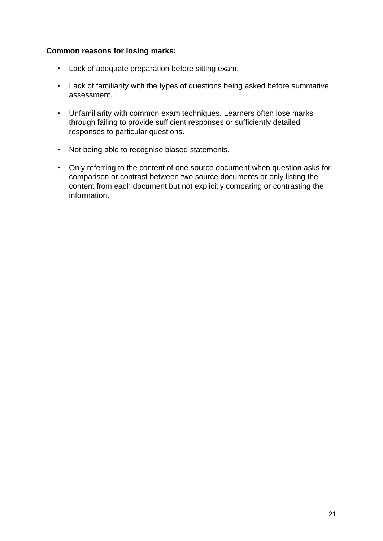# **Common reasons for losing marks:**

- Lack of adequate preparation before sitting exam.
- Lack of familiarity with the types of questions being asked before summative assessment.
- Unfamiliarity with common exam techniques. Learners often lose marks through failing to provide sufficient responses or sufficiently detailed responses to particular questions.
- Not being able to recognise biased statements.
- Only referring to the content of one source document when question asks for comparison or contrast between two source documents or only listing the content from each document but not explicitly comparing or contrasting the information.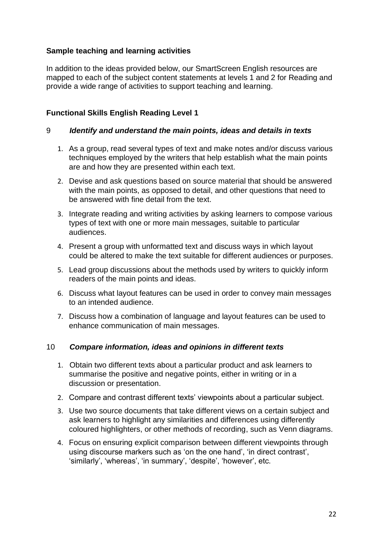# **Sample teaching and learning activities**

In addition to the ideas provided below, our SmartScreen English resources are mapped to each of the subject content statements at levels 1 and 2 for Reading and provide a wide range of activities to support teaching and learning.

# **Functional Skills English Reading Level 1**

# 9 *Identify and understand the main points, ideas and details in texts*

- 1. As a group, read several types of text and make notes and/or discuss various techniques employed by the writers that help establish what the main points are and how they are presented within each text.
- 2. Devise and ask questions based on source material that should be answered with the main points, as opposed to detail, and other questions that need to be answered with fine detail from the text.
- 3. Integrate reading and writing activities by asking learners to compose various types of text with one or more main messages, suitable to particular audiences.
- 4. Present a group with unformatted text and discuss ways in which layout could be altered to make the text suitable for different audiences or purposes.
- 5. Lead group discussions about the methods used by writers to quickly inform readers of the main points and ideas.
- 6. Discuss what layout features can be used in order to convey main messages to an intended audience.
- 7. Discuss how a combination of language and layout features can be used to enhance communication of main messages.

# 10 *Compare information, ideas and opinions in different texts*

- 1. Obtain two different texts about a particular product and ask learners to summarise the positive and negative points, either in writing or in a discussion or presentation.
- 2. Compare and contrast different texts' viewpoints about a particular subject.
- 3. Use two source documents that take different views on a certain subject and ask learners to highlight any similarities and differences using differently coloured highlighters, or other methods of recording, such as Venn diagrams.
- 4. Focus on ensuring explicit comparison between different viewpoints through using discourse markers such as 'on the one hand', 'in direct contrast', 'similarly', 'whereas', 'in summary', 'despite', 'however', etc.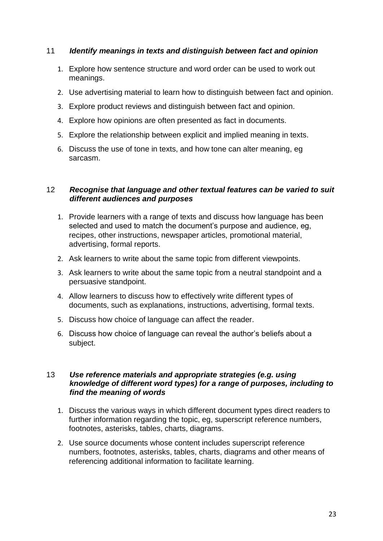# 11 *Identify meanings in texts and distinguish between fact and opinion*

- 1. Explore how sentence structure and word order can be used to work out meanings.
- 2. Use advertising material to learn how to distinguish between fact and opinion.
- 3. Explore product reviews and distinguish between fact and opinion.
- 4. Explore how opinions are often presented as fact in documents.
- 5. Explore the relationship between explicit and implied meaning in texts.
- 6. Discuss the use of tone in texts, and how tone can alter meaning, eg sarcasm.

# 12 *Recognise that language and other textual features can be varied to suit different audiences and purposes*

- 1. Provide learners with a range of texts and discuss how language has been selected and used to match the document's purpose and audience, eg, recipes, other instructions, newspaper articles, promotional material, advertising, formal reports.
- 2. Ask learners to write about the same topic from different viewpoints.
- 3. Ask learners to write about the same topic from a neutral standpoint and a persuasive standpoint.
- 4. Allow learners to discuss how to effectively write different types of documents, such as explanations, instructions, advertising, formal texts.
- 5. Discuss how choice of language can affect the reader.
- 6. Discuss how choice of language can reveal the author's beliefs about a subject.

# 13 *Use reference materials and appropriate strategies (e.g. using knowledge of different word types) for a range of purposes, including to find the meaning of words*

- 1. Discuss the various ways in which different document types direct readers to further information regarding the topic, eg, superscript reference numbers, footnotes, asterisks, tables, charts, diagrams.
- 2. Use source documents whose content includes superscript reference numbers, footnotes, asterisks, tables, charts, diagrams and other means of referencing additional information to facilitate learning.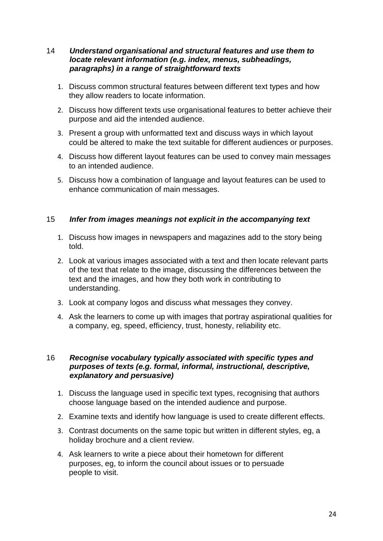# 14 *Understand organisational and structural features and use them to locate relevant information (e.g. index, menus, subheadings, paragraphs) in a range of straightforward texts*

- 1. Discuss common structural features between different text types and how they allow readers to locate information.
- 2. Discuss how different texts use organisational features to better achieve their purpose and aid the intended audience.
- 3. Present a group with unformatted text and discuss ways in which layout could be altered to make the text suitable for different audiences or purposes.
- 4. Discuss how different layout features can be used to convey main messages to an intended audience.
- 5. Discuss how a combination of language and layout features can be used to enhance communication of main messages.

# 15 *Infer from images meanings not explicit in the accompanying text*

- 1. Discuss how images in newspapers and magazines add to the story being told.
- 2. Look at various images associated with a text and then locate relevant parts of the text that relate to the image, discussing the differences between the text and the images, and how they both work in contributing to understanding.
- 3. Look at company logos and discuss what messages they convey.
- 4. Ask the learners to come up with images that portray aspirational qualities for a company, eg, speed, efficiency, trust, honesty, reliability etc.

# 16 *Recognise vocabulary typically associated with specific types and purposes of texts (e.g. formal, informal, instructional, descriptive, explanatory and persuasive)*

- 1. Discuss the language used in specific text types, recognising that authors choose language based on the intended audience and purpose.
- 2. Examine texts and identify how language is used to create different effects.
- 3. Contrast documents on the same topic but written in different styles, eg, a holiday brochure and a client review.
- 4. Ask learners to write a piece about their hometown for different purposes, eg, to inform the council about issues or to persuade people to visit.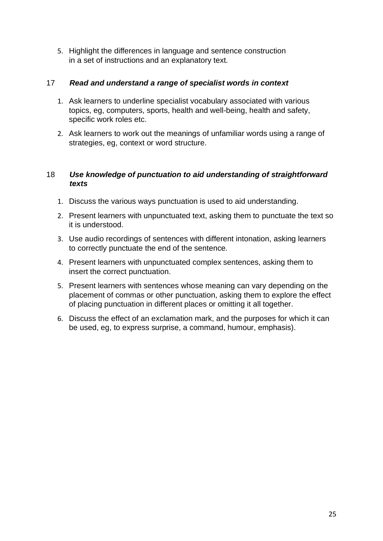5. Highlight the differences in language and sentence construction in a set of instructions and an explanatory text.

# 17 *Read and understand a range of specialist words in context*

- 1. Ask learners to underline specialist vocabulary associated with various topics, eg, computers, sports, health and well-being, health and safety, specific work roles etc.
- 2. Ask learners to work out the meanings of unfamiliar words using a range of strategies, eg, context or word structure.

# 18 *Use knowledge of punctuation to aid understanding of straightforward texts*

- 1. Discuss the various ways punctuation is used to aid understanding.
- 2. Present learners with unpunctuated text, asking them to punctuate the text so it is understood.
- 3. Use audio recordings of sentences with different intonation, asking learners to correctly punctuate the end of the sentence.
- 4. Present learners with unpunctuated complex sentences, asking them to insert the correct punctuation.
- 5. Present learners with sentences whose meaning can vary depending on the placement of commas or other punctuation, asking them to explore the effect of placing punctuation in different places or omitting it all together.
- 6. Discuss the effect of an exclamation mark, and the purposes for which it can be used, eg, to express surprise, a command, humour, emphasis).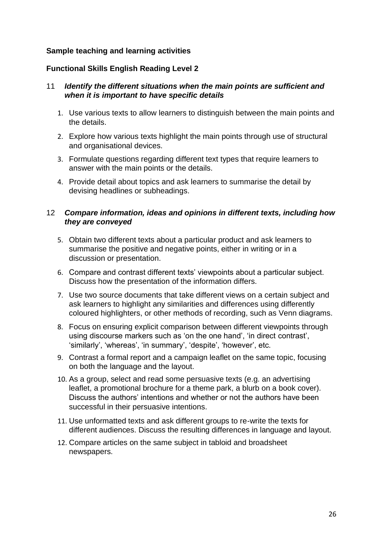# **Sample teaching and learning activities**

# **Functional Skills English Reading Level 2**

# 11 *Identify the different situations when the main points are sufficient and when it is important to have specific details*

- 1. Use various texts to allow learners to distinguish between the main points and the details.
- 2. Explore how various texts highlight the main points through use of structural and organisational devices.
- 3. Formulate questions regarding different text types that require learners to answer with the main points or the details.
- 4. Provide detail about topics and ask learners to summarise the detail by devising headlines or subheadings.

# 12 *Compare information, ideas and opinions in different texts, including how they are conveyed*

- 5. Obtain two different texts about a particular product and ask learners to summarise the positive and negative points, either in writing or in a discussion or presentation.
- 6. Compare and contrast different texts' viewpoints about a particular subject. Discuss how the presentation of the information differs.
- 7. Use two source documents that take different views on a certain subject and ask learners to highlight any similarities and differences using differently coloured highlighters, or other methods of recording, such as Venn diagrams.
- 8. Focus on ensuring explicit comparison between different viewpoints through using discourse markers such as 'on the one hand', 'in direct contrast', 'similarly', 'whereas', 'in summary', 'despite', 'however', etc.
- 9. Contrast a formal report and a campaign leaflet on the same topic, focusing on both the language and the layout.
- 10. As a group, select and read some persuasive texts (e.g. an advertising leaflet, a promotional brochure for a theme park, a blurb on a book cover). Discuss the authors' intentions and whether or not the authors have been successful in their persuasive intentions.
- 11. Use unformatted texts and ask different groups to re-write the texts for different audiences. Discuss the resulting differences in language and layout.
- 12. Compare articles on the same subject in tabloid and broadsheet newspapers.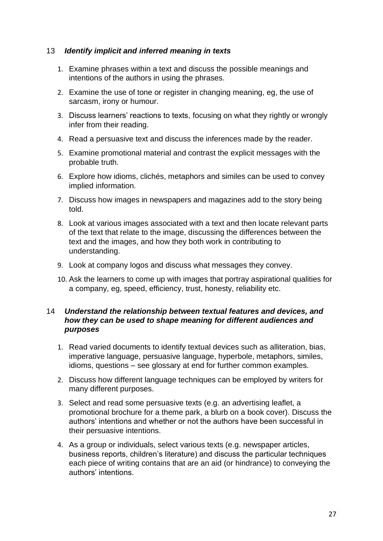# 13 *Identify implicit and inferred meaning in texts*

- 1. Examine phrases within a text and discuss the possible meanings and intentions of the authors in using the phrases.
- 2. Examine the use of tone or register in changing meaning, eg, the use of sarcasm, irony or humour.
- 3. Discuss learners' reactions to texts, focusing on what they rightly or wrongly infer from their reading.
- 4. Read a persuasive text and discuss the inferences made by the reader.
- 5. Examine promotional material and contrast the explicit messages with the probable truth.
- 6. Explore how idioms, clichés, metaphors and similes can be used to convey implied information.
- 7. Discuss how images in newspapers and magazines add to the story being told.
- 8. Look at various images associated with a text and then locate relevant parts of the text that relate to the image, discussing the differences between the text and the images, and how they both work in contributing to understanding.
- 9. Look at company logos and discuss what messages they convey.
- 10. Ask the learners to come up with images that portray aspirational qualities for a company, eg, speed, efficiency, trust, honesty, reliability etc.

# 14 *Understand the relationship between textual features and devices, and how they can be used to shape meaning for different audiences and purposes*

- 1. Read varied documents to identify textual devices such as alliteration, bias, imperative language, persuasive language, hyperbole, metaphors, similes, idioms, questions – see glossary at end for further common examples.
- 2. Discuss how different language techniques can be employed by writers for many different purposes.
- 3. Select and read some persuasive texts (e.g. an advertising leaflet, a promotional brochure for a theme park, a blurb on a book cover). Discuss the authors' intentions and whether or not the authors have been successful in their persuasive intentions.
- 4. As a group or individuals, select various texts (e.g. newspaper articles, business reports, children's literature) and discuss the particular techniques each piece of writing contains that are an aid (or hindrance) to conveying the authors' intentions.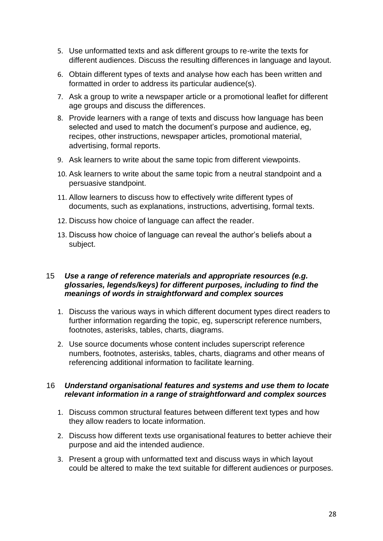- 5. Use unformatted texts and ask different groups to re-write the texts for different audiences. Discuss the resulting differences in language and layout.
- 6. Obtain different types of texts and analyse how each has been written and formatted in order to address its particular audience(s).
- 7. Ask a group to write a newspaper article or a promotional leaflet for different age groups and discuss the differences.
- 8. Provide learners with a range of texts and discuss how language has been selected and used to match the document's purpose and audience, eg, recipes, other instructions, newspaper articles, promotional material, advertising, formal reports.
- 9. Ask learners to write about the same topic from different viewpoints.
- 10. Ask learners to write about the same topic from a neutral standpoint and a persuasive standpoint.
- 11. Allow learners to discuss how to effectively write different types of documents, such as explanations, instructions, advertising, formal texts.
- 12. Discuss how choice of language can affect the reader.
- 13. Discuss how choice of language can reveal the author's beliefs about a subject.

# 15 *Use a range of reference materials and appropriate resources (e.g. glossaries, legends/keys) for different purposes, including to find the meanings of words in straightforward and complex sources*

- 1. Discuss the various ways in which different document types direct readers to further information regarding the topic, eg, superscript reference numbers, footnotes, asterisks, tables, charts, diagrams.
- 2. Use source documents whose content includes superscript reference numbers, footnotes, asterisks, tables, charts, diagrams and other means of referencing additional information to facilitate learning.

# 16 *Understand organisational features and systems and use them to locate relevant information in a range of straightforward and complex sources*

- 1. Discuss common structural features between different text types and how they allow readers to locate information.
- 2. Discuss how different texts use organisational features to better achieve their purpose and aid the intended audience.
- 3. Present a group with unformatted text and discuss ways in which layout could be altered to make the text suitable for different audiences or purposes.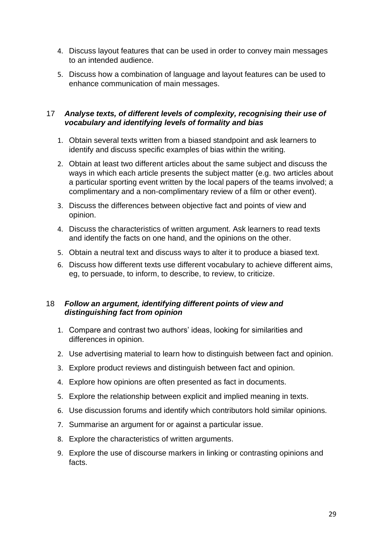- 4. Discuss layout features that can be used in order to convey main messages to an intended audience.
- 5. Discuss how a combination of language and layout features can be used to enhance communication of main messages.

# 17 *Analyse texts, of different levels of complexity, recognising their use of vocabulary and identifying levels of formality and bias*

- 1. Obtain several texts written from a biased standpoint and ask learners to identify and discuss specific examples of bias within the writing.
- 2. Obtain at least two different articles about the same subject and discuss the ways in which each article presents the subject matter (e.g. two articles about a particular sporting event written by the local papers of the teams involved; a complimentary and a non-complimentary review of a film or other event).
- 3. Discuss the differences between objective fact and points of view and opinion.
- 4. Discuss the characteristics of written argument. Ask learners to read texts and identify the facts on one hand, and the opinions on the other.
- 5. Obtain a neutral text and discuss ways to alter it to produce a biased text.
- 6. Discuss how different texts use different vocabulary to achieve different aims, eg, to persuade, to inform, to describe, to review, to criticize.

# 18 *Follow an argument, identifying different points of view and distinguishing fact from opinion*

- 1. Compare and contrast two authors' ideas, looking for similarities and differences in opinion.
- 2. Use advertising material to learn how to distinguish between fact and opinion.
- 3. Explore product reviews and distinguish between fact and opinion.
- 4. Explore how opinions are often presented as fact in documents.
- 5. Explore the relationship between explicit and implied meaning in texts.
- 6. Use discussion forums and identify which contributors hold similar opinions.
- 7. Summarise an argument for or against a particular issue.
- 8. Explore the characteristics of written arguments.
- 9. Explore the use of discourse markers in linking or contrasting opinions and facts.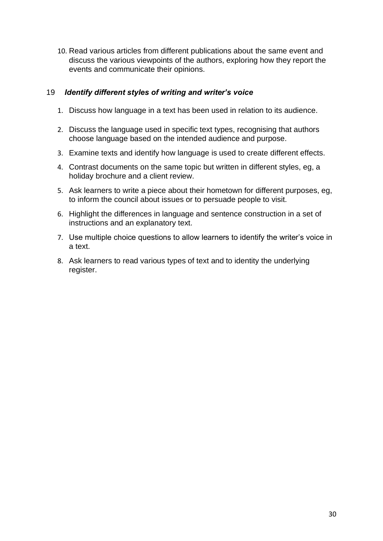10. Read various articles from different publications about the same event and discuss the various viewpoints of the authors, exploring how they report the events and communicate their opinions.

# 19 *Identify different styles of writing and writer's voice*

- 1. Discuss how language in a text has been used in relation to its audience.
- 2. Discuss the language used in specific text types, recognising that authors choose language based on the intended audience and purpose.
- 3. Examine texts and identify how language is used to create different effects.
- 4. Contrast documents on the same topic but written in different styles, eg, a holiday brochure and a client review.
- 5. Ask learners to write a piece about their hometown for different purposes, eg, to inform the council about issues or to persuade people to visit.
- 6. Highlight the differences in language and sentence construction in a set of instructions and an explanatory text.
- 7. Use multiple choice questions to allow learners to identify the writer's voice in a text.
- 8. Ask learners to read various types of text and to identity the underlying register.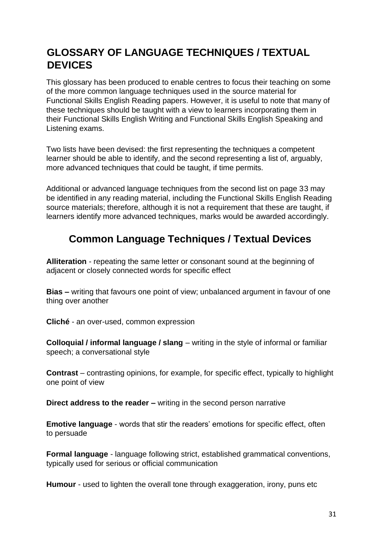# **GLOSSARY OF LANGUAGE TECHNIQUES / TEXTUAL DEVICES**

This glossary has been produced to enable centres to focus their teaching on some of the more common language techniques used in the source material for Functional Skills English Reading papers. However, it is useful to note that many of these techniques should be taught with a view to learners incorporating them in their Functional Skills English Writing and Functional Skills English Speaking and Listening exams.

Two lists have been devised: the first representing the techniques a competent learner should be able to identify, and the second representing a list of, arguably, more advanced techniques that could be taught, if time permits.

Additional or advanced language techniques from the second list on page 33 may be identified in any reading material, including the Functional Skills English Reading source materials; therefore, although it is not a requirement that these are taught, if learners identify more advanced techniques, marks would be awarded accordingly.

# **Common Language Techniques / Textual Devices**

**Alliteration** - repeating the same letter or consonant sound at the beginning of adjacent or closely connected words for specific effect

**Bias –** writing that favours one point of view; unbalanced argument in favour of one thing over another

**Cliché** - an over-used, common expression

**Colloquial / informal language / slang** – writing in the style of informal or familiar speech; a conversational style

**Contrast** – contrasting opinions, for example, for specific effect, typically to highlight one point of view

**Direct address to the reader –** writing in the second person narrative

**Emotive language** - words that stir the readers' emotions for specific effect, often to persuade

**Formal language** - language following strict, established grammatical conventions, typically used for serious or official communication

**Humour** - used to lighten the overall tone through exaggeration, irony, puns etc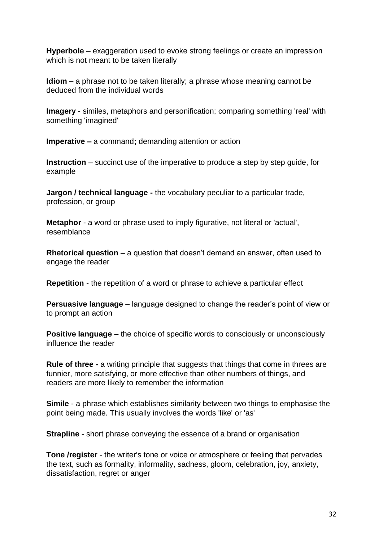**Hyperbole** – exaggeration used to evoke strong feelings or create an impression which is not meant to be taken literally

**Idiom –** a phrase not to be taken literally; a phrase whose meaning cannot be deduced from the individual words

**Imagery** - similes, metaphors and personification; comparing something 'real' with something 'imagined'

**Imperative –** a command**;** demanding attention or action

**Instruction** – succinct use of the imperative to produce a step by step guide, for example

**Jargon / technical language -** the vocabulary peculiar to a particular trade, profession, or group

**Metaphor** - a word or phrase used to imply figurative, not literal or 'actual', resemblance

**Rhetorical question –** a question that doesn't demand an answer, often used to engage the reader

**Repetition** - the repetition of a word or phrase to achieve a particular effect

**Persuasive language** – language designed to change the reader's point of view or to prompt an action

**Positive language –** the choice of specific words to consciously or unconsciously influence the reader

**Rule of three -** a [writing](https://en.wikipedia.org/wiki/Writing) principle that suggests that things that come in threes are funnier, more satisfying, or more effective than other numbers of things, and readers are more likely to remember the information

**Simile** - a phrase which establishes similarity between two things to emphasise the point being made. This usually involves the words 'like' or 'as'

**Strapline** - short phrase conveying the essence of a brand or organisation

**Tone /register** - the writer's tone or voice or atmosphere or feeling that pervades the text, such as formality, informality, sadness, gloom, celebration, joy, anxiety, dissatisfaction, regret or anger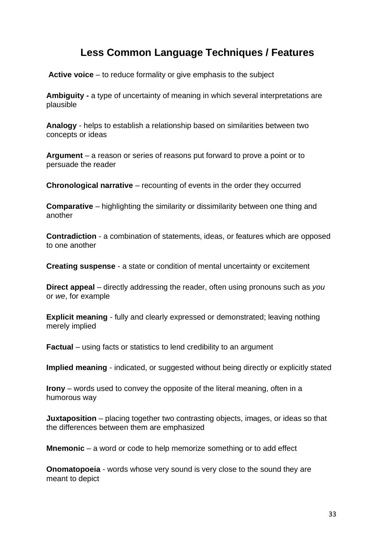# **Less Common Language Techniques / Features**

**Active voice** – to reduce formality or give emphasis to the subject

**Ambiguity -** a type of [uncertainty](https://en.wikipedia.org/wiki/Uncertainty) of [meaning](https://en.wikipedia.org/wiki/Meaning_(linguistics)) [i](https://en.wikipedia.org/wiki/Meaning_(linguistics))n which several interpretations are [plausible](https://en.wiktionary.org/wiki/plausible#Adjective)

**Analogy** - helps to establish a relationship based on similarities between two concepts or ideas

**Argument** – a reason or series of reasons put forward to prove a point or to persuade the reader

**Chronological narrative** – recounting of events in the order they occurred

**Comparative** – highlighting the similarity or dissimilarity between one thing and another

**Contradiction** - a combination of statements, ideas, or features which are opposed to one another

**Creating suspense** - a state or condition of mental uncertainty or excitement

**Direct appeal** – directly addressing the reader, often using pronouns such as *you*  or *we*, for example

**Explicit meaning** - fully and clearly expressed or demonstrated; leaving nothing merely implied

**Factual** – using facts or statistics to lend credibility to an argument

**Implied meaning** - indicated, or suggested without being directly or explicitly stated

**Irony** – words used to convey the opposite of the literal meaning, often in a humorous way

**Juxtaposition** – placing together two contrasting objects, images, or ideas so that the differences between them are emphasized

**Mnemonic** – a word or code to help memorize something or to add effect

**Onomatopoeia** - words whose very sound is very close to the sound they are meant to depict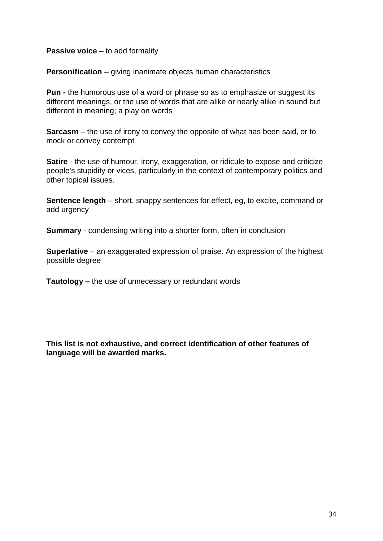# **Passive voice** – to add formality

**Personification** – giving inanimate objects human characteristics

**Pun -** the humorous use of a word or phrase so as to emphasize or suggest its different meanings, or the use of words that are alike or nearly alike in sound but different in meaning; a play on words

**Sarcasm** – the use of irony to convey the opposite of what has been said, or to mock or convey contempt

**Satire** - the use of humour, irony, exaggeration, or ridicule to expose and criticize people's stupidity or vices, particularly in the context of contemporary politics and other topical issues.

**Sentence length** – short, snappy sentences for effect, eg, to excite, command or add urgency

**Summary** - condensing writing into a shorter form, often in conclusion

**Superlative** – an exaggerated expression of praise. An expression of the highest possible degree

**Tautology –** the use of unnecessary or redundant words

**This list is not exhaustive, and correct identification of other features of language will be awarded marks.**